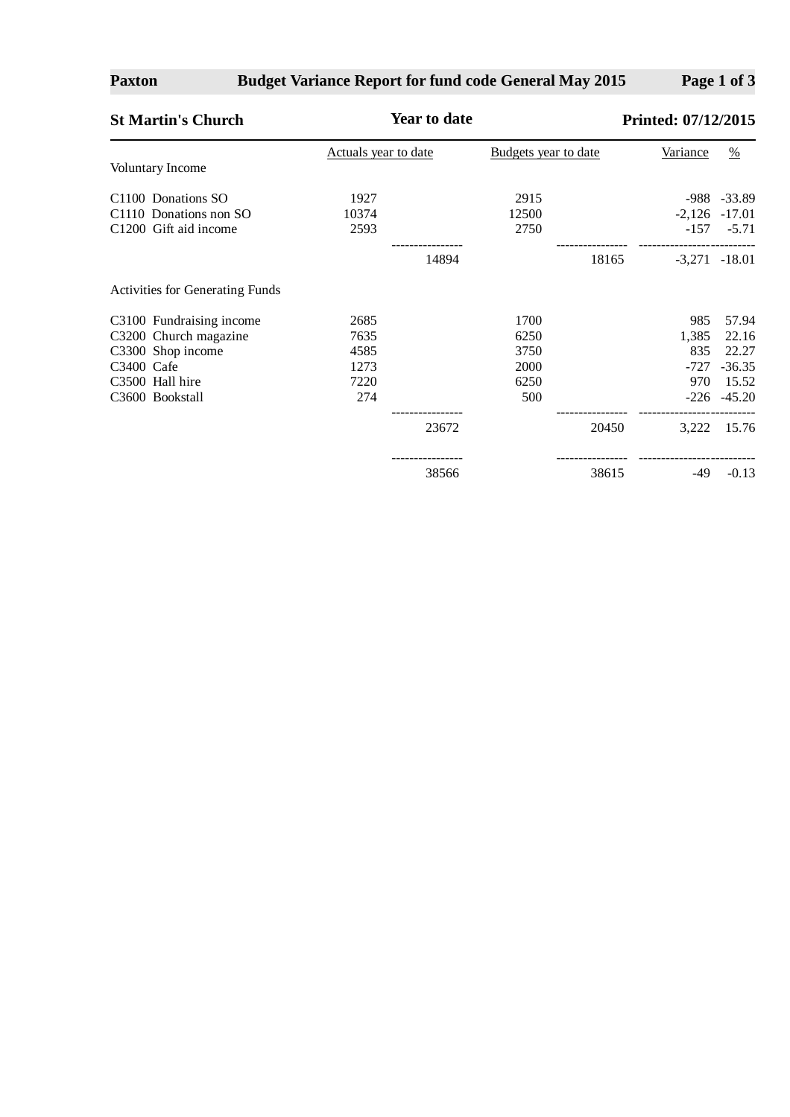## **Paxton**

# **Budget Variance Report for fund code General May 2015**

**Page 1 of 3**

| <b>St Martin's Church</b>       | <b>Year to date</b>  |       |                      |       | Printed: 07/12/2015 |                   |  |
|---------------------------------|----------------------|-------|----------------------|-------|---------------------|-------------------|--|
|                                 | Actuals year to date |       | Budgets year to date |       | <b>Variance</b>     | $\frac{0}{0}$     |  |
| Voluntary Income                |                      |       |                      |       |                     |                   |  |
| C1100 Donations SO              | 1927                 |       | 2915                 |       |                     | $-988 - 33.89$    |  |
| C1110 Donations non SO          | 10374                |       | 12500                |       |                     | $-2,126$ $-17.01$ |  |
| C1200 Gift aid income           | 2593                 |       | 2750                 |       | $-157$              | $-5.71$           |  |
|                                 |                      | 14894 |                      | 18165 |                     | $-3,271$ $-18.01$ |  |
| Activities for Generating Funds |                      |       |                      |       |                     |                   |  |
| C3100 Fundraising income        | 2685                 |       | 1700                 |       | 985                 | 57.94             |  |
| C3200 Church magazine           | 7635                 |       | 6250                 |       | 1,385               | 22.16             |  |
| C3300 Shop income               | 4585                 |       | 3750                 |       | 835                 | 22.27             |  |
| C3400 Cafe                      | 1273                 |       | 2000                 |       | $-727$              | $-36.35$          |  |
| C3500 Hall hire                 | 7220                 |       | 6250                 |       | 970                 | 15.52             |  |
| C3600 Bookstall                 | 274                  |       | 500                  |       |                     | $-226 - 45.20$    |  |
|                                 |                      | 23672 |                      | 20450 | 3,222               | 15.76             |  |
|                                 |                      | 38566 |                      | 38615 | $-49$               | $-0.13$           |  |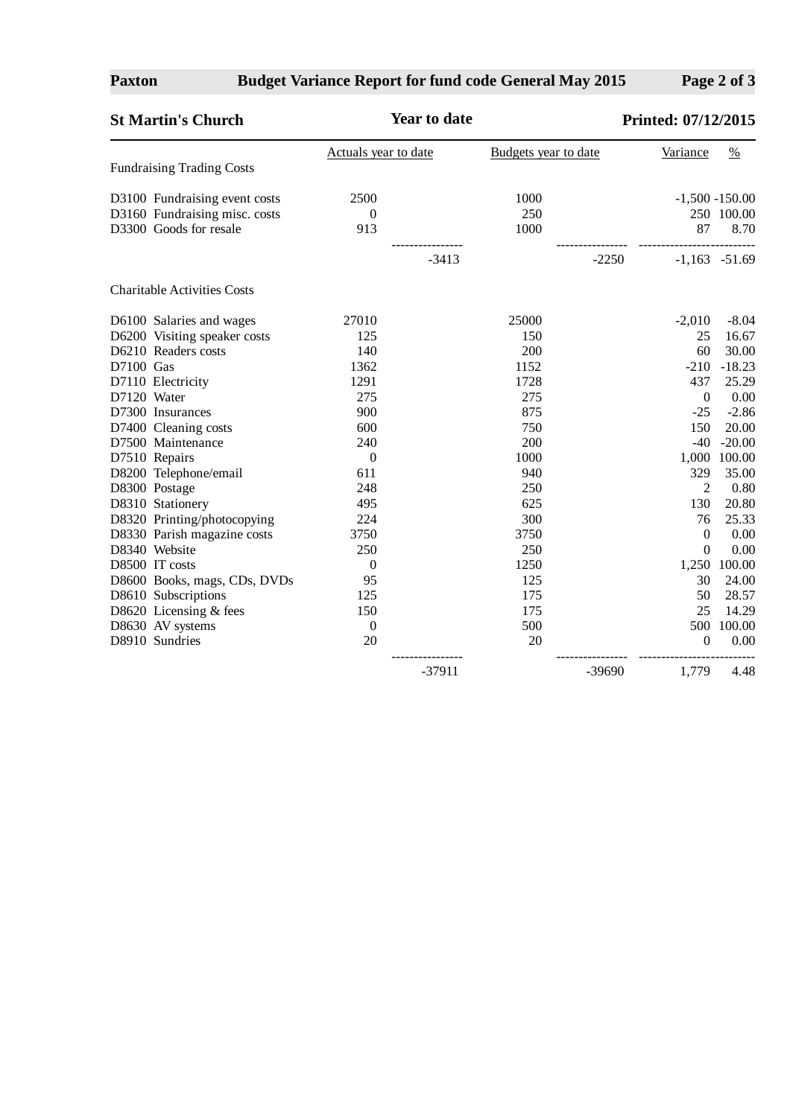# **Budget Variance Report for fund code General May 2015**

**Page 2 of 3**

| <b>St Martin's Church</b>          | <b>Year to date</b>  |          | Printed: 07/12/2015  |         |                  |                   |
|------------------------------------|----------------------|----------|----------------------|---------|------------------|-------------------|
|                                    | Actuals year to date |          | Budgets year to date |         | Variance         | $\frac{0}{0}$     |
| <b>Fundraising Trading Costs</b>   |                      |          |                      |         |                  |                   |
| D3100 Fundraising event costs      | 2500                 |          | 1000                 |         |                  | $-1,500 - 150.00$ |
| D3160 Fundraising misc. costs      | $\boldsymbol{0}$     |          | 250                  |         |                  | 250 100.00        |
| D3300 Goods for resale             | 913                  |          | 1000                 |         | 87               | 8.70              |
|                                    |                      | $-3413$  |                      | $-2250$ |                  | $-1,163$ $-51.69$ |
| <b>Charitable Activities Costs</b> |                      |          |                      |         |                  |                   |
| D6100 Salaries and wages           | 27010                |          | 25000                |         | $-2,010$         | $-8.04$           |
| D6200 Visiting speaker costs       | 125                  |          | 150                  |         | 25               | 16.67             |
| D6210 Readers costs                | 140                  |          | 200                  |         | 60               | 30.00             |
| D7100 Gas                          | 1362                 |          | 1152                 |         | $-210$           | $-18.23$          |
| D7110 Electricity                  | 1291                 |          | 1728                 |         | 437              | 25.29             |
| D7120 Water                        | 275                  |          | 275                  |         | $\Omega$         | 0.00              |
| D7300 Insurances                   | 900                  |          | 875                  |         | $-25$            | $-2.86$           |
| D7400 Cleaning costs               | 600                  |          | 750                  |         | 150              | 20.00             |
| D7500 Maintenance                  | 240                  |          | 200                  |         | $-40$            | $-20.00$          |
| D7510 Repairs                      | $\boldsymbol{0}$     |          | 1000                 |         |                  | 1,000 100.00      |
| D8200 Telephone/email              | 611                  |          | 940                  |         | 329              | 35.00             |
| D8300 Postage                      | 248                  |          | 250                  |         | $\overline{2}$   | 0.80              |
| D8310 Stationery                   | 495                  |          | 625                  |         | 130              | 20.80             |
| D8320 Printing/photocopying        | 224                  |          | 300                  |         | 76               | 25.33             |
| D8330 Parish magazine costs        | 3750                 |          | 3750                 |         | $\mathbf{0}$     | 0.00              |
| D8340 Website                      | 250                  |          | 250                  |         | $\Omega$         | 0.00              |
| D8500 IT costs                     | $\boldsymbol{0}$     |          | 1250                 |         |                  | 1,250 100.00      |
| D8600 Books, mags, CDs, DVDs       | 95                   |          | 125                  |         | 30               | 24.00             |
| D8610 Subscriptions                | 125                  |          | 175                  |         | 50               | 28.57             |
| D8620 Licensing & fees             | 150                  |          | 175                  |         | 25               | 14.29             |
| D8630 AV systems                   | $\boldsymbol{0}$     |          | 500                  |         | 500              | 100.00            |
| D8910 Sundries                     | 20                   |          | 20                   |         | $\boldsymbol{0}$ | 0.00              |
|                                    |                      | $-37911$ |                      | -39690  | 1,779            | 4.48              |

**Paxton**